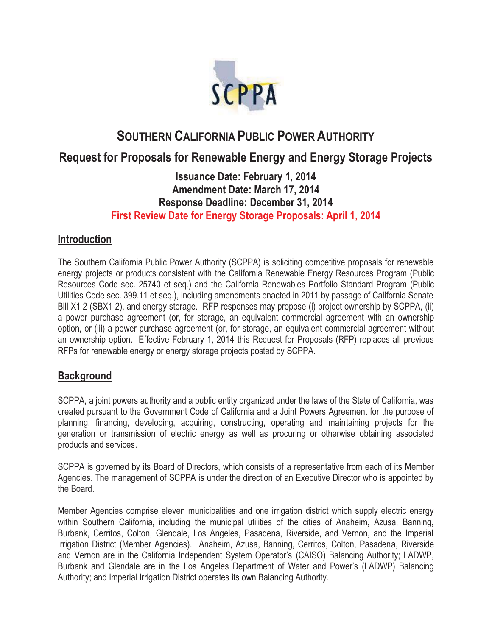

# **SOUTHERN CALIFORNIA PUBLIC POWER AUTHORITY**

# **Request for Proposals for Renewable Energy and Energy Storage Projects**

# **Issuance Date: February 1, 2014 Amendment Date: March 17, 2014 Response Deadline: December 31, 2014 First Review Date for Energy Storage Proposals: April 1, 2014**

## **Introduction**

The Southern California Public Power Authority (SCPPA) is soliciting competitive proposals for renewable energy projects or products consistent with the California Renewable Energy Resources Program (Public Resources Code sec. 25740 et seq.) and the California Renewables Portfolio Standard Program (Public Utilities Code sec. 399.11 et seq.), including amendments enacted in 2011 by passage of California Senate Bill X1 2 (SBX1 2), and energy storage. RFP responses may propose (i) project ownership by SCPPA, (ii) a power purchase agreement (or, for storage, an equivalent commercial agreement with an ownership option, or (iii) a power purchase agreement (or, for storage, an equivalent commercial agreement without an ownership option. Effective February 1, 2014 this Request for Proposals (RFP) replaces all previous RFPs for renewable energy or energy storage projects posted by SCPPA.

# **Background**

SCPPA, a joint powers authority and a public entity organized under the laws of the State of California, was created pursuant to the Government Code of California and a Joint Powers Agreement for the purpose of planning, financing, developing, acquiring, constructing, operating and maintaining projects for the generation or transmission of electric energy as well as procuring or otherwise obtaining associated products and services.

SCPPA is governed by its Board of Directors, which consists of a representative from each of its Member Agencies. The management of SCPPA is under the direction of an Executive Director who is appointed by the Board.

Member Agencies comprise eleven municipalities and one irrigation district which supply electric energy within Southern California, including the municipal utilities of the cities of Anaheim, Azusa, Banning, Burbank, Cerritos, Colton, Glendale, Los Angeles, Pasadena, Riverside, and Vernon, and the Imperial Irrigation District (Member Agencies). Anaheim, Azusa, Banning, Cerritos, Colton, Pasadena, Riverside and Vernon are in the California Independent System Operator's (CAISO) Balancing Authority; LADWP, Burbank and Glendale are in the Los Angeles Department of Water and Power's (LADWP) Balancing Authority; and Imperial Irrigation District operates its own Balancing Authority.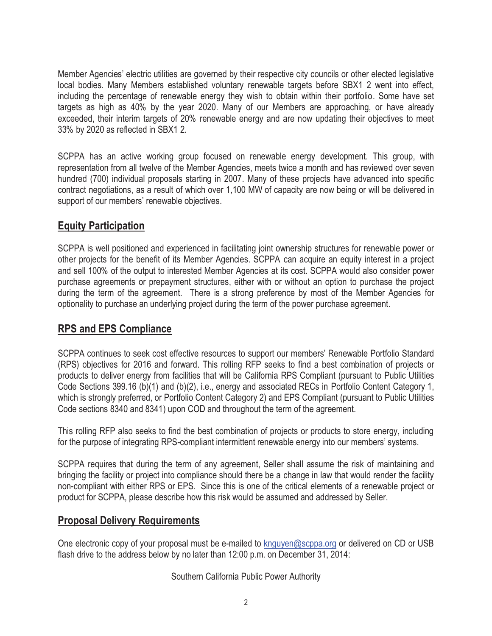Member Agencies' electric utilities are governed by their respective city councils or other elected legislative local bodies. Many Members established voluntary renewable targets before SBX1 2 went into effect, including the percentage of renewable energy they wish to obtain within their portfolio. Some have set targets as high as 40% by the year 2020. Many of our Members are approaching, or have already exceeded, their interim targets of 20% renewable energy and are now updating their objectives to meet 33% by 2020 as reflected in SBX1 2.

SCPPA has an active working group focused on renewable energy development. This group, with representation from all twelve of the Member Agencies, meets twice a month and has reviewed over seven hundred (700) individual proposals starting in 2007. Many of these projects have advanced into specific contract negotiations, as a result of which over 1,100 MW of capacity are now being or will be delivered in support of our members' renewable objectives.

# **Equity Participation**

SCPPA is well positioned and experienced in facilitating joint ownership structures for renewable power or other projects for the benefit of its Member Agencies. SCPPA can acquire an equity interest in a project and sell 100% of the output to interested Member Agencies at its cost. SCPPA would also consider power purchase agreements or prepayment structures, either with or without an option to purchase the project during the term of the agreement. There is a strong preference by most of the Member Agencies for optionality to purchase an underlying project during the term of the power purchase agreement.

# **RPS and EPS Compliance**

SCPPA continues to seek cost effective resources to support our members' Renewable Portfolio Standard (RPS) objectives for 2016 and forward. This rolling RFP seeks to find a best combination of projects or products to deliver energy from facilities that will be California RPS Compliant (pursuant to Public Utilities Code Sections 399.16 (b)(1) and (b)(2), i.e., energy and associated RECs in Portfolio Content Category 1, which is strongly preferred, or Portfolio Content Category 2) and EPS Compliant (pursuant to Public Utilities Code sections 8340 and 8341) upon COD and throughout the term of the agreement.

This rolling RFP also seeks to find the best combination of projects or products to store energy, including for the purpose of integrating RPS-compliant intermittent renewable energy into our members' systems.

SCPPA requires that during the term of any agreement, Seller shall assume the risk of maintaining and bringing the facility or project into compliance should there be a change in law that would render the facility non-compliant with either RPS or EPS. Since this is one of the critical elements of a renewable project or product for SCPPA, please describe how this risk would be assumed and addressed by Seller.

### **Proposal Delivery Requirements**

One electronic copy of your proposal must be e-mailed to knguyen@scppa.org or delivered on CD or USB flash drive to the address below by no later than 12:00 p.m. on December 31, 2014:

Southern California Public Power Authority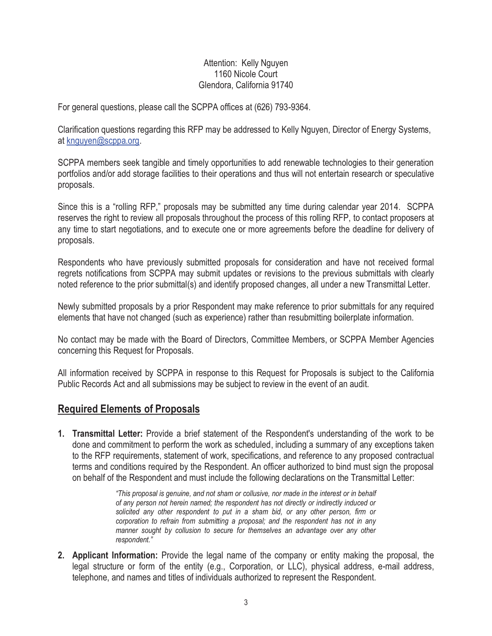#### Attention: Kelly Nguyen 1160 Nicole Court Glendora, California 91740

For general questions, please call the SCPPA offices at (626) 793-9364.

Clarification questions regarding this RFP may be addressed to Kelly Nguyen, Director of Energy Systems, at knguyen@scppa.org.

SCPPA members seek tangible and timely opportunities to add renewable technologies to their generation portfolios and/or add storage facilities to their operations and thus will not entertain research or speculative proposals.

Since this is a "rolling RFP," proposals may be submitted any time during calendar year 2014. SCPPA reserves the right to review all proposals throughout the process of this rolling RFP, to contact proposers at any time to start negotiations, and to execute one or more agreements before the deadline for delivery of proposals.

Respondents who have previously submitted proposals for consideration and have not received formal regrets notifications from SCPPA may submit updates or revisions to the previous submittals with clearly noted reference to the prior submittal(s) and identify proposed changes, all under a new Transmittal Letter.

Newly submitted proposals by a prior Respondent may make reference to prior submittals for any required elements that have not changed (such as experience) rather than resubmitting boilerplate information.

No contact may be made with the Board of Directors, Committee Members, or SCPPA Member Agencies concerning this Request for Proposals.

All information received by SCPPA in response to this Request for Proposals is subject to the California Public Records Act and all submissions may be subject to review in the event of an audit.

# **Required Elements of Proposals**

**1. Transmittal Letter:** Provide a brief statement of the Respondent's understanding of the work to be done and commitment to perform the work as scheduled, including a summary of any exceptions taken to the RFP requirements, statement of work, specifications, and reference to any proposed contractual terms and conditions required by the Respondent. An officer authorized to bind must sign the proposal on behalf of the Respondent and must include the following declarations on the Transmittal Letter:

> *"This proposal is genuine, and not sham or collusive, nor made in the interest or in behalf of any person not herein named; the respondent has not directly or indirectly induced or solicited any other respondent to put in a sham bid, or any other person, firm or corporation to refrain from submitting a proposal; and the respondent has not in any manner sought by collusion to secure for themselves an advantage over any other respondent."*

**2. Applicant Information:** Provide the legal name of the company or entity making the proposal, the legal structure or form of the entity (e.g., Corporation, or LLC), physical address, e-mail address, telephone, and names and titles of individuals authorized to represent the Respondent.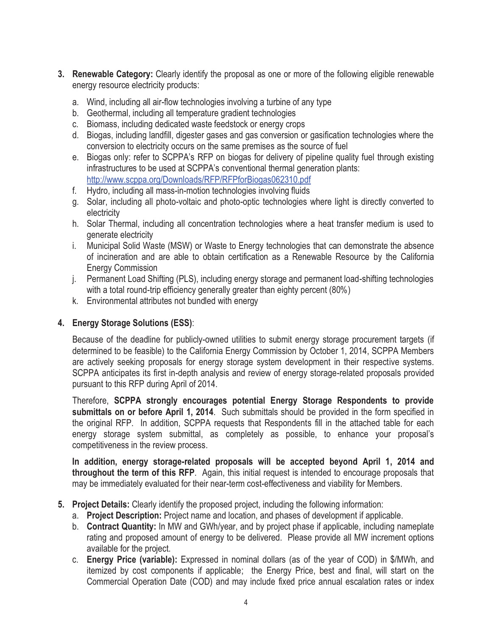- **3. Renewable Category:** Clearly identify the proposal as one or more of the following eligible renewable energy resource electricity products:
	- a. Wind, including all air-flow technologies involving a turbine of any type
	- b. Geothermal, including all temperature gradient technologies
	- c. Biomass, including dedicated waste feedstock or energy crops
	- d. Biogas, including landfill, digester gases and gas conversion or gasification technologies where the conversion to electricity occurs on the same premises as the source of fuel
	- e. Biogas only: refer to SCPPA's RFP on biogas for delivery of pipeline quality fuel through existing infrastructures to be used at SCPPA's conventional thermal generation plants: http://www.scppa.org/Downloads/RFP/RFPforBiogas062310.pdf
	- f. Hydro, including all mass-in-motion technologies involving fluids
	- g. Solar, including all photo-voltaic and photo-optic technologies where light is directly converted to electricity
	- h. Solar Thermal, including all concentration technologies where a heat transfer medium is used to generate electricity
	- i. Municipal Solid Waste (MSW) or Waste to Energy technologies that can demonstrate the absence of incineration and are able to obtain certification as a Renewable Resource by the California Energy Commission
	- j. Permanent Load Shifting (PLS), including energy storage and permanent load-shifting technologies with a total round-trip efficiency generally greater than eighty percent (80%)
	- k. Environmental attributes not bundled with energy

#### **4. Energy Storage Solutions (ESS)**:

Because of the deadline for publicly-owned utilities to submit energy storage procurement targets (if determined to be feasible) to the California Energy Commission by October 1, 2014, SCPPA Members are actively seeking proposals for energy storage system development in their respective systems. SCPPA anticipates its first in-depth analysis and review of energy storage-related proposals provided pursuant to this RFP during April of 2014.

Therefore, **SCPPA strongly encourages potential Energy Storage Respondents to provide submittals on or before April 1, 2014**. Such submittals should be provided in the form specified in the original RFP. In addition, SCPPA requests that Respondents fill in the attached table for each energy storage system submittal, as completely as possible, to enhance your proposal's competitiveness in the review process.

**In addition, energy storage-related proposals will be accepted beyond April 1, 2014 and throughout the term of this RFP**. Again, this initial request is intended to encourage proposals that may be immediately evaluated for their near-term cost-effectiveness and viability for Members.

#### **5. Project Details:** Clearly identify the proposed project, including the following information:

- a. **Project Description:** Project name and location, and phases of development if applicable.
- b. **Contract Quantity:** In MW and GWh/year, and by project phase if applicable, including nameplate rating and proposed amount of energy to be delivered. Please provide all MW increment options available for the project.
- c. **Energy Price (variable):** Expressed in nominal dollars (as of the year of COD) in \$/MWh, and itemized by cost components if applicable; the Energy Price, best and final, will start on the Commercial Operation Date (COD) and may include fixed price annual escalation rates or index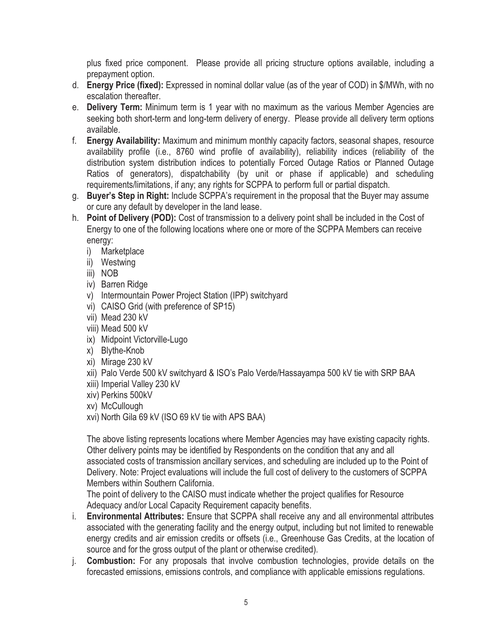plus fixed price component. Please provide all pricing structure options available, including a prepayment option.

- d. **Energy Price (fixed):** Expressed in nominal dollar value (as of the year of COD) in \$/MWh, with no escalation thereafter.
- e. **Delivery Term:** Minimum term is 1 year with no maximum as the various Member Agencies are seeking both short-term and long-term delivery of energy. Please provide all delivery term options available.
- f. **Energy Availability:** Maximum and minimum monthly capacity factors, seasonal shapes, resource availability profile (i.e., 8760 wind profile of availability), reliability indices (reliability of the distribution system distribution indices to potentially Forced Outage Ratios or Planned Outage Ratios of generators), dispatchability (by unit or phase if applicable) and scheduling requirements/limitations, if any; any rights for SCPPA to perform full or partial dispatch.
- g. **Buyer's Step in Right:** Include SCPPA's requirement in the proposal that the Buyer may assume or cure any default by developer in the land lease.
- h. **Point of Delivery (POD):** Cost of transmission to a delivery point shall be included in the Cost of Energy to one of the following locations where one or more of the SCPPA Members can receive energy:
	- i) Marketplace
	- ii) Westwing
	- iii) NOB
	- iv) Barren Ridge
	- v) Intermountain Power Project Station (IPP) switchyard
	- vi) CAISO Grid (with preference of SP15)
	- vii) Mead 230 kV
	- viii) Mead 500 kV
	- ix) Midpoint Victorville-Lugo
	- x) Blythe-Knob
	- xi) Mirage 230 kV
	- xii) Palo Verde 500 kV switchyard & ISO's Palo Verde/Hassayampa 500 kV tie with SRP BAA
	- xiii) Imperial Valley 230 kV
	- xiv) Perkins 500kV
	- xv) McCullough
	- xvi) North Gila 69 kV (ISO 69 kV tie with APS BAA)

The above listing represents locations where Member Agencies may have existing capacity rights. Other delivery points may be identified by Respondents on the condition that any and all associated costs of transmission ancillary services, and scheduling are included up to the Point of Delivery. Note: Project evaluations will include the full cost of delivery to the customers of SCPPA Members within Southern California.

The point of delivery to the CAISO must indicate whether the project qualifies for Resource Adequacy and/or Local Capacity Requirement capacity benefits.

- i. **Environmental Attributes:** Ensure that SCPPA shall receive any and all environmental attributes associated with the generating facility and the energy output, including but not limited to renewable energy credits and air emission credits or offsets (i.e., Greenhouse Gas Credits, at the location of source and for the gross output of the plant or otherwise credited).
- j. **Combustion:** For any proposals that involve combustion technologies, provide details on the forecasted emissions, emissions controls, and compliance with applicable emissions regulations.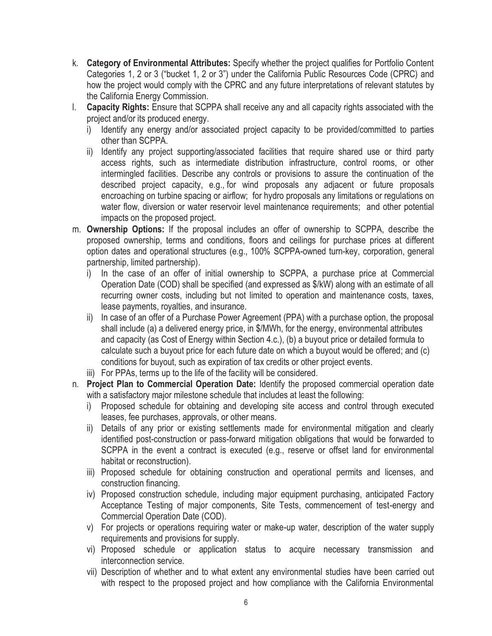- k. **Category of Environmental Attributes:** Specify whether the project qualifies for Portfolio Content Categories 1, 2 or 3 ("bucket 1, 2 or 3") under the California Public Resources Code (CPRC) and how the project would comply with the CPRC and any future interpretations of relevant statutes by the California Energy Commission.
- l. **Capacity Rights:** Ensure that SCPPA shall receive any and all capacity rights associated with the project and/or its produced energy.
	- i) Identify any energy and/or associated project capacity to be provided/committed to parties other than SCPPA.
	- ii) Identify any project supporting/associated facilities that require shared use or third party access rights, such as intermediate distribution infrastructure, control rooms, or other intermingled facilities. Describe any controls or provisions to assure the continuation of the described project capacity, e.g., for wind proposals any adjacent or future proposals encroaching on turbine spacing or airflow; for hydro proposals any limitations or regulations on water flow, diversion or water reservoir level maintenance requirements; and other potential impacts on the proposed project.
- m. **Ownership Options:** If the proposal includes an offer of ownership to SCPPA, describe the proposed ownership, terms and conditions, floors and ceilings for purchase prices at different option dates and operational structures (e.g., 100% SCPPA-owned turn-key, corporation, general partnership, limited partnership).
	- i) In the case of an offer of initial ownership to SCPPA, a purchase price at Commercial Operation Date (COD) shall be specified (and expressed as \$/kW) along with an estimate of all recurring owner costs, including but not limited to operation and maintenance costs, taxes, lease payments, royalties, and insurance.
	- ii) In case of an offer of a Purchase Power Agreement (PPA) with a purchase option, the proposal shall include (a) a delivered energy price, in \$/MWh, for the energy, environmental attributes and capacity (as Cost of Energy within Section 4.c.), (b) a buyout price or detailed formula to calculate such a buyout price for each future date on which a buyout would be offered; and (c) conditions for buyout, such as expiration of tax credits or other project events.
	- iii) For PPAs, terms up to the life of the facility will be considered.
- n. **Project Plan to Commercial Operation Date:** Identify the proposed commercial operation date with a satisfactory major milestone schedule that includes at least the following:
	- i) Proposed schedule for obtaining and developing site access and control through executed leases, fee purchases, approvals, or other means.
	- ii) Details of any prior or existing settlements made for environmental mitigation and clearly identified post-construction or pass-forward mitigation obligations that would be forwarded to SCPPA in the event a contract is executed (e.g., reserve or offset land for environmental habitat or reconstruction).
	- iii) Proposed schedule for obtaining construction and operational permits and licenses, and construction financing.
	- iv) Proposed construction schedule, including major equipment purchasing, anticipated Factory Acceptance Testing of major components, Site Tests, commencement of test-energy and Commercial Operation Date (COD).
	- v) For projects or operations requiring water or make-up water, description of the water supply requirements and provisions for supply.
	- vi) Proposed schedule or application status to acquire necessary transmission and interconnection service.
	- vii) Description of whether and to what extent any environmental studies have been carried out with respect to the proposed project and how compliance with the California Environmental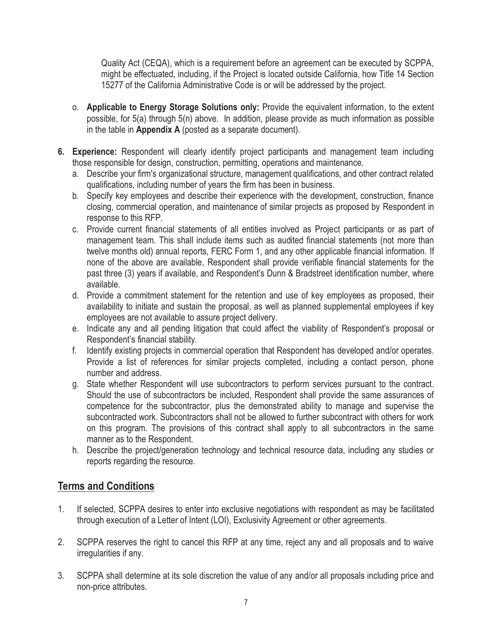Quality Act (CEQA), which is a requirement before an agreement can be executed by SCPPA, might be effectuated, including, if the Project is located outside California, how Title 14 Section 15277 of the California Administrative Code is or will be addressed by the project.

- o. **Applicable to Energy Storage Solutions only:** Provide the equivalent information, to the extent possible, for 5(a) through 5(n) above. In addition, please provide as much information as possible in the table in **Appendix A** (posted as a separate document).
- **6. Experience:** Respondent will clearly identify project participants and management team including those responsible for design, construction, permitting, operations and maintenance.
	- a. Describe your firm's organizational structure, management qualifications, and other contract related qualifications, including number of years the firm has been in business.
	- b. Specify key employees and describe their experience with the development, construction, finance closing, commercial operation, and maintenance of similar projects as proposed by Respondent in response to this RFP.
	- c. Provide current financial statements of all entities involved as Project participants or as part of management team. This shall include items such as audited financial statements (not more than twelve months old) annual reports, FERC Form 1, and any other applicable financial information. If none of the above are available, Respondent shall provide verifiable financial statements for the past three (3) years if available, and Respondent's Dunn & Bradstreet identification number, where available.
	- d. Provide a commitment statement for the retention and use of key employees as proposed, their availability to initiate and sustain the proposal, as well as planned supplemental employees if key employees are not available to assure project delivery.
	- e. Indicate any and all pending litigation that could affect the viability of Respondent's proposal or Respondent's financial stability.
	- f. Identify existing projects in commercial operation that Respondent has developed and/or operates. Provide a list of references for similar projects completed, including a contact person, phone number and address.
	- g. State whether Respondent will use subcontractors to perform services pursuant to the contract. Should the use of subcontractors be included, Respondent shall provide the same assurances of competence for the subcontractor, plus the demonstrated ability to manage and supervise the subcontracted work. Subcontractors shall not be allowed to further subcontract with others for work on this program. The provisions of this contract shall apply to all subcontractors in the same manner as to the Respondent.
	- h. Describe the project/generation technology and technical resource data, including any studies or reports regarding the resource.

# **Terms and Conditions**

- 1. If selected, SCPPA desires to enter into exclusive negotiations with respondent as may be facilitated through execution of a Letter of Intent (LOI), Exclusivity Agreement or other agreements.
- 2. SCPPA reserves the right to cancel this RFP at any time, reject any and all proposals and to waive irregularities if any.
- 3. SCPPA shall determine at its sole discretion the value of any and/or all proposals including price and non-price attributes.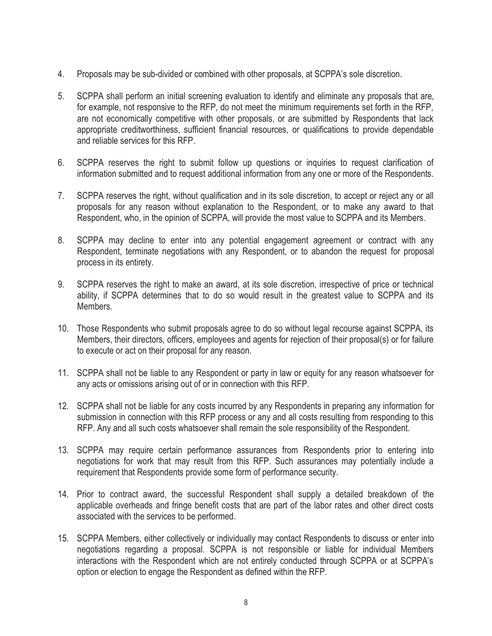- 4. Proposals may be sub-divided or combined with other proposals, at SCPPA's sole discretion.
- 5. SCPPA shall perform an initial screening evaluation to identify and eliminate any proposals that are, for example, not responsive to the RFP, do not meet the minimum requirements set forth in the RFP, are not economically competitive with other proposals, or are submitted by Respondents that lack appropriate creditworthiness, sufficient financial resources, or qualifications to provide dependable and reliable services for this RFP.
- 6. SCPPA reserves the right to submit follow up questions or inquiries to request clarification of information submitted and to request additional information from any one or more of the Respondents.
- 7. SCPPA reserves the right, without qualification and in its sole discretion, to accept or reject any or all proposals for any reason without explanation to the Respondent, or to make any award to that Respondent, who, in the opinion of SCPPA, will provide the most value to SCPPA and its Members.
- 8. SCPPA may decline to enter into any potential engagement agreement or contract with any Respondent, terminate negotiations with any Respondent, or to abandon the request for proposal process in its entirety.
- 9. SCPPA reserves the right to make an award, at its sole discretion, irrespective of price or technical ability, if SCPPA determines that to do so would result in the greatest value to SCPPA and its Members.
- 10. Those Respondents who submit proposals agree to do so without legal recourse against SCPPA, its Members, their directors, officers, employees and agents for rejection of their proposal(s) or for failure to execute or act on their proposal for any reason.
- 11. SCPPA shall not be liable to any Respondent or party in law or equity for any reason whatsoever for any acts or omissions arising out of or in connection with this RFP.
- 12. SCPPA shall not be liable for any costs incurred by any Respondents in preparing any information for submission in connection with this RFP process or any and all costs resulting from responding to this RFP. Any and all such costs whatsoever shall remain the sole responsibility of the Respondent.
- 13. SCPPA may require certain performance assurances from Respondents prior to entering into negotiations for work that may result from this RFP. Such assurances may potentially include a requirement that Respondents provide some form of performance security.
- 14. Prior to contract award, the successful Respondent shall supply a detailed breakdown of the applicable overheads and fringe benefit costs that are part of the labor rates and other direct costs associated with the services to be performed.
- 15. SCPPA Members, either collectively or individually may contact Respondents to discuss or enter into negotiations regarding a proposal. SCPPA is not responsible or liable for individual Members interactions with the Respondent which are not entirely conducted through SCPPA or at SCPPA's option or election to engage the Respondent as defined within the RFP.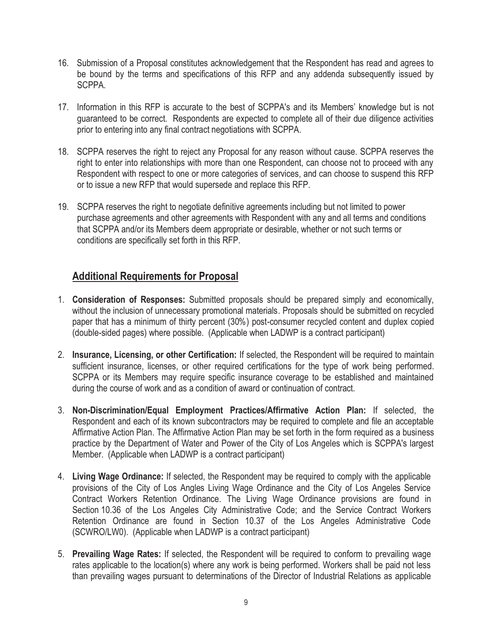- 16. Submission of a Proposal constitutes acknowledgement that the Respondent has read and agrees to be bound by the terms and specifications of this RFP and any addenda subsequently issued by SCPPA.
- 17. Information in this RFP is accurate to the best of SCPPA's and its Members' knowledge but is not guaranteed to be correct. Respondents are expected to complete all of their due diligence activities prior to entering into any final contract negotiations with SCPPA.
- 18. SCPPA reserves the right to reject any Proposal for any reason without cause. SCPPA reserves the right to enter into relationships with more than one Respondent, can choose not to proceed with any Respondent with respect to one or more categories of services, and can choose to suspend this RFP or to issue a new RFP that would supersede and replace this RFP.
- 19. SCPPA reserves the right to negotiate definitive agreements including but not limited to power purchase agreements and other agreements with Respondent with any and all terms and conditions that SCPPA and/or its Members deem appropriate or desirable, whether or not such terms or conditions are specifically set forth in this RFP.

# **Additional Requirements for Proposal**

- 1. **Consideration of Responses:** Submitted proposals should be prepared simply and economically, without the inclusion of unnecessary promotional materials. Proposals should be submitted on recycled paper that has a minimum of thirty percent (30%) post-consumer recycled content and duplex copied (double-sided pages) where possible. (Applicable when LADWP is a contract participant)
- 2. **Insurance, Licensing, or other Certification:** If selected, the Respondent will be required to maintain sufficient insurance, licenses, or other required certifications for the type of work being performed. SCPPA or its Members may require specific insurance coverage to be established and maintained during the course of work and as a condition of award or continuation of contract.
- 3. **Non-Discrimination/Equal Employment Practices/Affirmative Action Plan:** If selected, the Respondent and each of its known subcontractors may be required to complete and file an acceptable Affirmative Action Plan. The Affirmative Action Plan may be set forth in the form required as a business practice by the Department of Water and Power of the City of Los Angeles which is SCPPA's largest Member. (Applicable when LADWP is a contract participant)
- 4. **Living Wage Ordinance:** If selected, the Respondent may be required to comply with the applicable provisions of the City of Los Angles Living Wage Ordinance and the City of Los Angeles Service Contract Workers Retention Ordinance. The Living Wage Ordinance provisions are found in Section 10.36 of the Los Angeles City Administrative Code; and the Service Contract Workers Retention Ordinance are found in Section 10.37 of the Los Angeles Administrative Code (SCWRO/LW0). (Applicable when LADWP is a contract participant)
- 5. **Prevailing Wage Rates:** If selected, the Respondent will be required to conform to prevailing wage rates applicable to the location(s) where any work is being performed. Workers shall be paid not less than prevailing wages pursuant to determinations of the Director of Industrial Relations as applicable